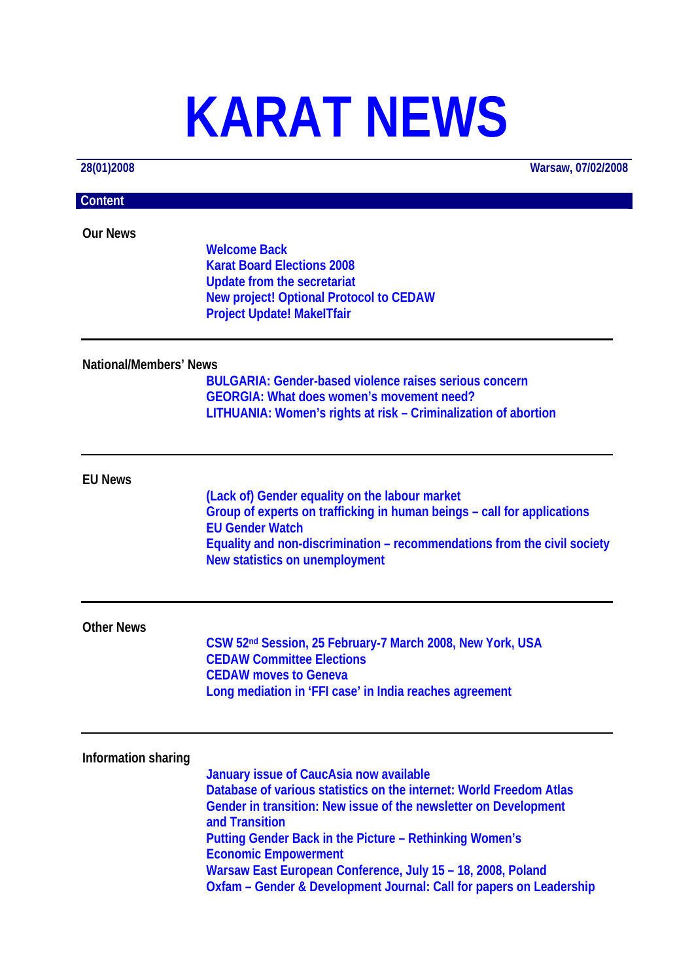# **KARAT NEWS**

**28(01)2008 Warsaw, 07/02/2008**

# **Content**

**Our News** 

**Welcome Back Karat Board Elections 2008 Update from the secretariat New project! Optional Protocol to CEDAW Project Update! MakeITfair** 

#### **National/Members' News**

**BULGARIA: Gender-based violence raises serious concern GEORGIA: What does women's movement need? LITHUANIA: Women's rights at risk – Criminalization of abortion**

## **EU News**

**(Lack of) Gender equality on the labour market Group of experts on trafficking in human beings – call for applications EU Gender Watch Equality and non-discrimination – recommendations from the civil society New statistics on unemployment** 

#### **Other News**

**CSW 52nd Session, 25 February-7 March 2008, New York, USA CEDAW Committee Elections CEDAW moves to Geneva Long mediation in 'FFI case' in India reaches agreement** 

## **Information sharing**

**January issue of CaucAsia now available Database of various statistics on the internet: World Freedom Atlas Gender in transition: New issue of the newsletter on Development and Transition Putting Gender Back in the Picture – Rethinking Women's Economic Empowerment Warsaw East European Conference, July 15 – 18, 2008, Poland Oxfam – Gender & Development Journal: Call for papers on Leadership**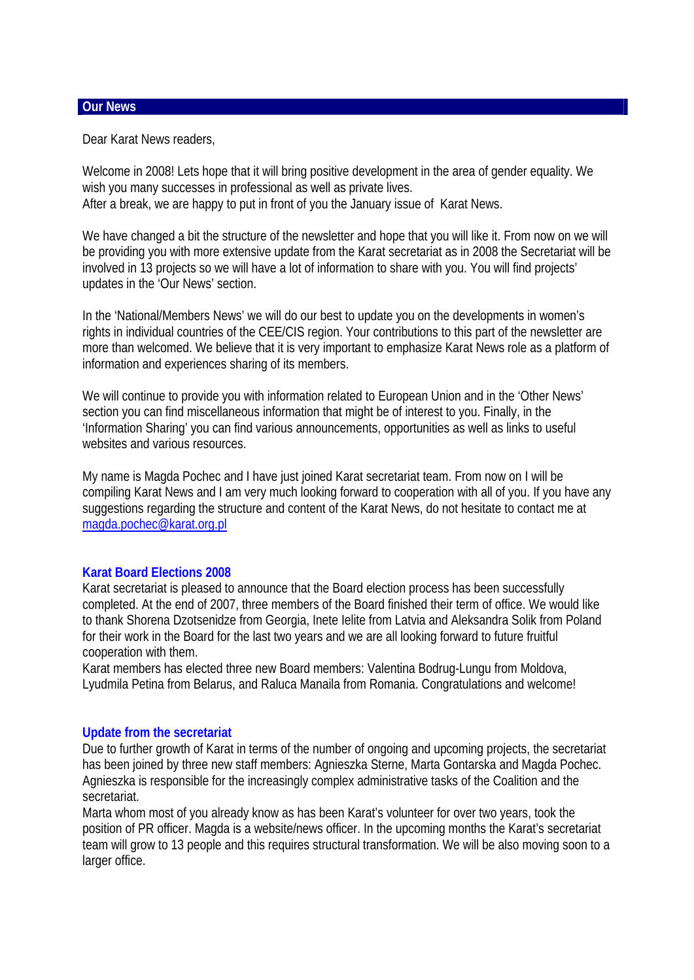#### **Our News**

Dear Karat News readers,

Welcome in 2008! Lets hope that it will bring positive development in the area of gender equality. We wish you many successes in professional as well as private lives. After a break, we are happy to put in front of you the January issue of Karat News.

We have changed a bit the structure of the newsletter and hope that you will like it. From now on we will be providing you with more extensive update from the Karat secretariat as in 2008 the Secretariat will be involved in 13 projects so we will have a lot of information to share with you. You will find projects' updates in the 'Our News' section.

In the 'National/Members News' we will do our best to update you on the developments in women's rights in individual countries of the CEE/CIS region. Your contributions to this part of the newsletter are more than welcomed. We believe that it is very important to emphasize Karat News role as a platform of information and experiences sharing of its members.

We will continue to provide you with information related to European Union and in the 'Other News' section you can find miscellaneous information that might be of interest to you. Finally, in the 'Information Sharing' you can find various announcements, opportunities as well as links to useful websites and various resources.

My name is Magda Pochec and I have just joined Karat secretariat team. From now on I will be compiling Karat News and I am very much looking forward to cooperation with all of you. If you have any suggestions regarding the structure and content of the Karat News, do not hesitate to contact me at [magda.pochec@karat.org.pl](mailto:magda.pochec@karat.org.pl) 

## **Karat Board Elections 2008**

Karat secretariat is pleased to announce that the Board election process has been successfully completed. At the end of 2007, three members of the Board finished their term of office. We would like to thank Shorena Dzotsenidze from Georgia, Inete Ielite from Latvia and Aleksandra Solik from Poland for their work in the Board for the last two years and we are all looking forward to future fruitful cooperation with them.

Karat members has elected three new Board members: Valentina Bodrug-Lungu from Moldova, Lyudmila Petina from Belarus, and Raluca Manaila from Romania. Congratulations and welcome!

## **Update from the secretariat**

Due to further growth of Karat in terms of the number of ongoing and upcoming projects, the secretariat has been joined by three new staff members: Agnieszka Sterne, Marta Gontarska and Magda Pochec. Agnieszka is responsible for the increasingly complex administrative tasks of the Coalition and the secretariat.

Marta whom most of you already know as has been Karat's volunteer for over two years, took the position of PR officer. Magda is a website/news officer. In the upcoming months the Karat's secretariat team will grow to 13 people and this requires structural transformation. We will be also moving soon to a larger office.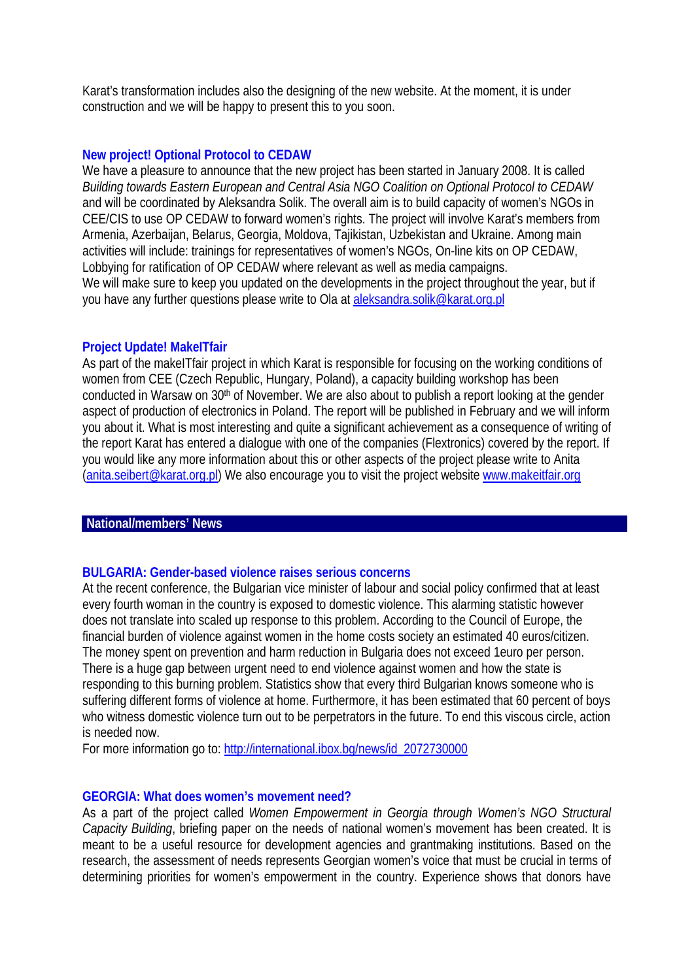Karat's transformation includes also the designing of the new website. At the moment, it is under construction and we will be happy to present this to you soon.

## **New project! Optional Protocol to CEDAW**

We have a pleasure to announce that the new project has been started in January 2008. It is called *Building towards Eastern European and Central Asia NGO Coalition on Optional Protocol to CEDAW* and will be coordinated by Aleksandra Solik. The overall aim is to build capacity of women's NGOs in CEE/CIS to use OP CEDAW to forward women's rights. The project will involve Karat's members from Armenia, Azerbaijan, Belarus, Georgia, Moldova, Tajikistan, Uzbekistan and Ukraine. Among main activities will include: trainings for representatives of women's NGOs, On-line kits on OP CEDAW, Lobbying for ratification of OP CEDAW where relevant as well as media campaigns. We will make sure to keep you updated on the developments in the project throughout the year, but if you have any further questions please write to Ola at [aleksandra.solik@karat.org.pl](mailto:aleksandra.solik@karat.org.pl)

# **Project Update! MakeITfair**

As part of the makeITfair project in which Karat is responsible for focusing on the working conditions of women from CEE (Czech Republic, Hungary, Poland), a capacity building workshop has been conducted in Warsaw on 30th of November. We are also about to publish a report looking at the gender aspect of production of electronics in Poland. The report will be published in February and we will inform you about it. What is most interesting and quite a significant achievement as a consequence of writing of the report Karat has entered a dialogue with one of the companies (Flextronics) covered by the report. If you would like any more information about this or other aspects of the project please write to Anita [\(anita.seibert@karat.org.pl\)](mailto:anita.seibert@karat.org.pl) We also encourage you to visit the project website [www.makeitfair.org](http://www.makeitfair.org/)

## **National/members' News**

## **BULGARIA: Gender-based violence raises serious concerns**

At the recent conference, the Bulgarian vice minister of labour and social policy confirmed that at least every fourth woman in the country is exposed to domestic violence. This alarming statistic however does not translate into scaled up response to this problem. According to the Council of Europe, the financial burden of violence against women in the home costs society an estimated 40 euros/citizen. The money spent on prevention and harm reduction in Bulgaria does not exceed 1euro per person. There is a huge gap between urgent need to end violence against women and how the state is responding to this burning problem. Statistics show that every third Bulgarian knows someone who is suffering different forms of violence at home. Furthermore, it has been estimated that 60 percent of boys who witness domestic violence turn out to be perpetrators in the future. To end this viscous circle, action is needed now.

For more information go to: [http://international.ibox.bg/news/id\\_2072730000](http://international.ibox.bg/news/id_2072730000)

## **GEORGIA: What does women's movement need?**

As a part of the project called *Women Empowerment in Georgia through Women's NGO Structural Capacity Building*, briefing paper on the needs of national women's movement has been created. It is meant to be a useful resource for development agencies and grantmaking institutions. Based on the research, the assessment of needs represents Georgian women's voice that must be crucial in terms of determining priorities for women's empowerment in the country. Experience shows that donors have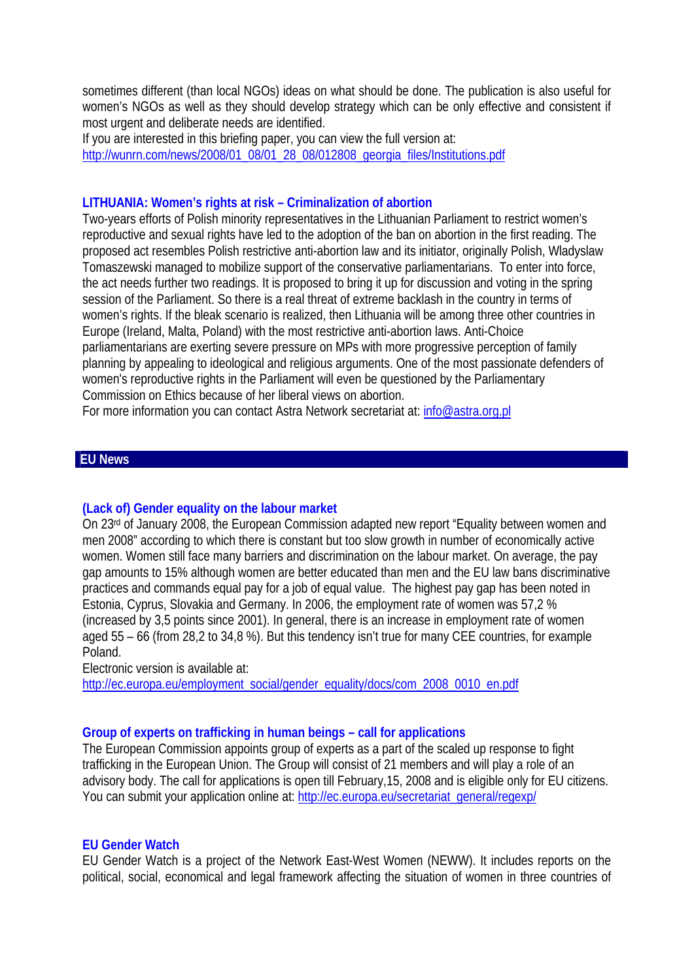sometimes different (than local NGOs) ideas on what should be done. The publication is also useful for women's NGOs as well as they should develop strategy which can be only effective and consistent if most urgent and deliberate needs are identified.

If you are interested in this briefing paper, you can view the full version at: [http://wunrn.com/news/2008/01\\_08/01\\_28\\_08/012808\\_georgia\\_files/Institutions.pdf](http://wunrn.com/news/2008/01_08/01_28_08/012808_georgia_files/Institutions.pdf) 

# **LITHUANIA: Women's rights at risk – Criminalization of abortion**

Two-years efforts of Polish minority representatives in the Lithuanian Parliament to restrict women's reproductive and sexual rights have led to the adoption of the ban on abortion in the first reading. The proposed act resembles Polish restrictive anti-abortion law and its initiator, originally Polish, Wladyslaw Tomaszewski managed to mobilize support of the conservative parliamentarians. To enter into force, the act needs further two readings. It is proposed to bring it up for discussion and voting in the spring session of the Parliament. So there is a real threat of extreme backlash in the country in terms of women's rights. If the bleak scenario is realized, then Lithuania will be among three other countries in Europe (Ireland, Malta, Poland) with the most restrictive anti-abortion laws. Anti-Choice parliamentarians are exerting severe pressure on MPs with more progressive perception of family planning by appealing to ideological and religious arguments. One of the most passionate defenders of women's reproductive rights in the Parliament will even be questioned by the Parliamentary Commission on Ethics because of her liberal views on abortion.

For more information you can contact Astra Network secretariat at: info@astra.org.pl

## **EU News**

## **(Lack of) Gender equality on the labour market**

On 23rd of January 2008, the European Commission adapted new report "Equality between women and men 2008" according to which there is constant but too slow growth in number of economically active women. Women still face many barriers and discrimination on the labour market. On average, the pay gap amounts to 15% although women are better educated than men and the EU law bans discriminative practices and commands equal pay for a job of equal value. The highest pay gap has been noted in Estonia, Cyprus, Slovakia and Germany. In 2006, the employment rate of women was 57,2 % (increased by 3,5 points since 2001). In general, there is an increase in employment rate of women aged 55 – 66 (from 28,2 to 34,8 %). But this tendency isn't true for many CEE countries, for example Poland.

Electronic version is available at:

[http://ec.europa.eu/employment\\_social/gender\\_equality/docs/com\\_2008\\_0010\\_en.pdf](http://ec.europa.eu/employment_social/gender_equality/docs/com_2008_0010_en.pdf)

## **Group of experts on trafficking in human beings – call for applications**

The European Commission appoints group of experts as a part of the scaled up response to fight trafficking in the European Union. The Group will consist of 21 members and will play a role of an advisory body. The call for applications is open till February,15, 2008 and is eligible only for EU citizens. You can submit your application online at: [http://ec.europa.eu/secretariat\\_general/regexp/](http://ec.europa.eu/secretariat_general/regexp/)

## **EU Gender Watch**

EU Gender Watch is a project of the Network East-West Women (NEWW). It includes reports on the political, social, economical and legal framework affecting the situation of women in three countries of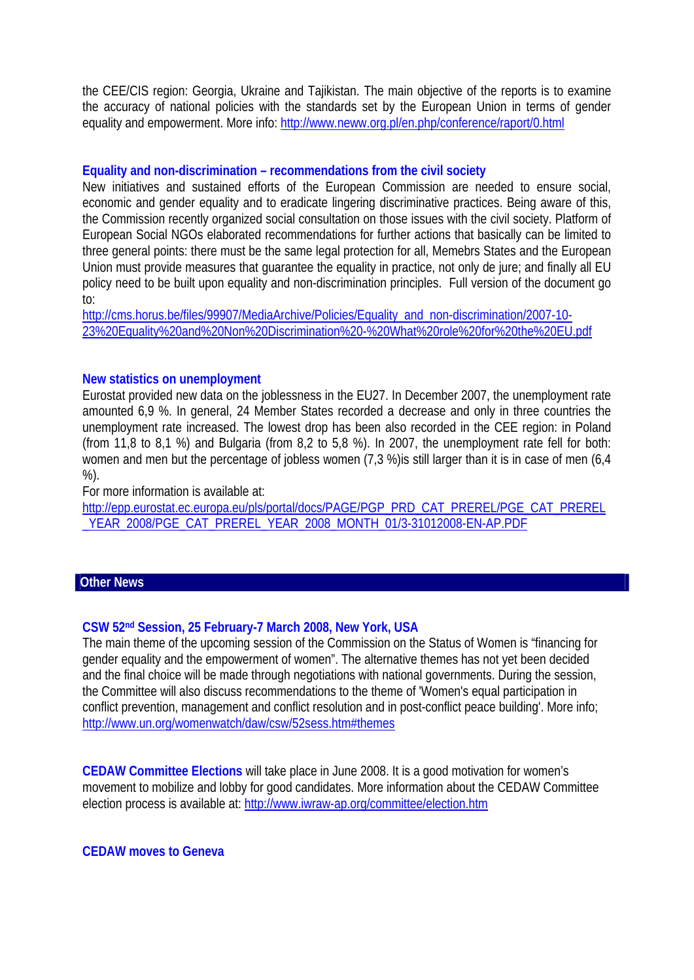the CEE/CIS region: Georgia, Ukraine and Tajikistan. The main objective of the reports is to examine the accuracy of national policies with the standards set by the European Union in terms of gender equality and empowerment. More info: <http://www.neww.org.pl/en.php/conference/raport/0.html>

## **Equality and non-discrimination – recommendations from the civil society**

New initiatives and sustained efforts of the European Commission are needed to ensure social, economic and gender equality and to eradicate lingering discriminative practices. Being aware of this, the Commission recently organized social consultation on those issues with the civil society. Platform of European Social NGOs elaborated recommendations for further actions that basically can be limited to three general points: there must be the same legal protection for all, Memebrs States and the European Union must provide measures that guarantee the equality in practice, not only de jure; and finally all EU policy need to be built upon equality and non-discrimination principles. Full version of the document go to:

[http://cms.horus.be/files/99907/MediaArchive/Policies/Equality\\_and\\_non-discrimination/2007-10-](http://cms.horus.be/files/99907/MediaArchive/Policies/Equality_and_non-discrimination/2007-10-23%20Equality%20and%20Non%20Discrimination%20-%20What%20role%20for%20the%20EU.pdf) [23%20Equality%20and%20Non%20Discrimination%20-%20What%20role%20for%20the%20EU.pdf](http://cms.horus.be/files/99907/MediaArchive/Policies/Equality_and_non-discrimination/2007-10-23%20Equality%20and%20Non%20Discrimination%20-%20What%20role%20for%20the%20EU.pdf) 

# **New statistics on unemployment**

Eurostat provided new data on the joblessness in the EU27. In December 2007, the unemployment rate amounted 6,9 %. In general, 24 Member States recorded a decrease and only in three countries the unemployment rate increased. The lowest drop has been also recorded in the CEE region: in Poland (from 11,8 to 8,1 %) and Bulgaria (from 8,2 to 5,8 %). In 2007, the unemployment rate fell for both: women and men but the percentage of jobless women (7,3 %)is still larger than it is in case of men (6,4 %).

For more information is available at:

[http://epp.eurostat.ec.europa.eu/pls/portal/docs/PAGE/PGP\\_PRD\\_CAT\\_PREREL/PGE\\_CAT\\_PREREL](http://epp.eurostat.ec.europa.eu/pls/portal/docs/PAGE/PGP_PRD_CAT_PREREL/PGE_CAT_PREREL_YEAR_2008/PGE_CAT_PREREL_YEAR_2008_MONTH_01/3-31012008-EN-AP.PDF) [\\_YEAR\\_2008/PGE\\_CAT\\_PREREL\\_YEAR\\_2008\\_MONTH\\_01/3-31012008-EN-AP.PDF](http://epp.eurostat.ec.europa.eu/pls/portal/docs/PAGE/PGP_PRD_CAT_PREREL/PGE_CAT_PREREL_YEAR_2008/PGE_CAT_PREREL_YEAR_2008_MONTH_01/3-31012008-EN-AP.PDF) 

## **Other News**

## **CSW 52nd Session, 25 February-7 March 2008, New York, USA**

The main theme of the upcoming session of the Commission on the Status of Women is "financing for gender equality and the empowerment of women". The alternative themes has not yet been decided and the final choice will be made through negotiations with national governments. During the session, the Committee will also discuss recommendations to the theme of 'Women's equal participation in conflict prevention, management and conflict resolution and in post-conflict peace building'. More info; <http://www.un.org/womenwatch/daw/csw/52sess.htm#themes>

**CEDAW Committee Elections** will take place in June 2008. It is a good motivation for women's movement to mobilize and lobby for good candidates. More information about the CEDAW Committee election process is available at: <http://www.iwraw-ap.org/committee/election.htm>

**CEDAW moves to Geneva**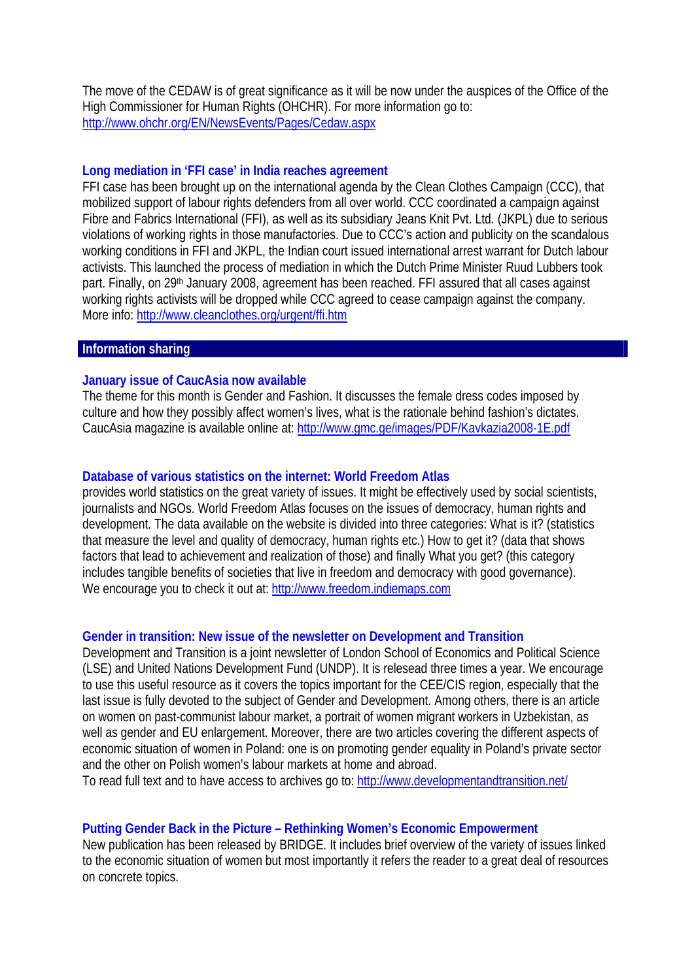The move of the CEDAW is of great significance as it will be now under the auspices of the Office of the High Commissioner for Human Rights (OHCHR). For more information go to: <http://www.ohchr.org/EN/NewsEvents/Pages/Cedaw.aspx>

#### **Long mediation in 'FFI case' in India reaches agreement**

FFI case has been brought up on the international agenda by the Clean Clothes Campaign (CCC), that mobilized support of labour rights defenders from all over world. CCC coordinated a campaign against Fibre and Fabrics International (FFI), as well as its subsidiary Jeans Knit Pvt. Ltd. (JKPL) due to serious violations of working rights in those manufactories. Due to CCC's action and publicity on the scandalous working conditions in FFI and JKPL, the Indian court issued international arrest warrant for Dutch labour activists. This launched the process of mediation in which the Dutch Prime Minister Ruud Lubbers took part. Finally, on 29<sup>th</sup> January 2008, agreement has been reached. FFI assured that all cases against working rights activists will be dropped while CCC agreed to cease campaign against the company. More info:<http://www.cleanclothes.org/urgent/ffi.htm>

#### **Information sharing**

# **January issue of CaucAsia now available**

The theme for this month is Gender and Fashion. It discusses the female dress codes imposed by culture and how they possibly affect women's lives, what is the rationale behind fashion's dictates. CaucAsia magazine is available online at:<http://www.gmc.ge/images/PDF/Kavkazia2008-1E.pdf>

## **Database of various statistics on the internet: World Freedom Atlas**

provides world statistics on the great variety of issues. It might be effectively used by social scientists, journalists and NGOs. World Freedom Atlas focuses on the issues of democracy, human rights and development. The data available on the website is divided into three categories: What is it? (statistics that measure the level and quality of democracy, human rights etc.) How to get it? (data that shows factors that lead to achievement and realization of those) and finally What you get? (this category includes tangible benefits of societies that live in freedom and democracy with good governance). We encourage you to check it out at: [http://www.freedom.indiemaps.com](http://www.freedom.indiemaps.com/) 

## **Gender in transition: New issue of the newsletter on Development and Transition**

Development and Transition is a joint newsletter of London School of Economics and Political Science (LSE) and United Nations Development Fund (UNDP). It is relesead three times a year. We encourage to use this useful resource as it covers the topics important for the CEE/CIS region, especially that the last issue is fully devoted to the subject of Gender and Development. Among others, there is an article on women on past-communist labour market, a portrait of women migrant workers in Uzbekistan, as well as gender and EU enlargement. Moreover, there are two articles covering the different aspects of economic situation of women in Poland: one is on promoting gender equality in Poland's private sector and the other on Polish women's labour markets at home and abroad.

To read full text and to have access to archives go to: <http://www.developmentandtransition.net/>

## **Putting Gender Back in the Picture – Rethinking Women's Economic Empowerment**

New publication has been released by BRIDGE. It includes brief overview of the variety of issues linked to the economic situation of women but most importantly it refers the reader to a great deal of resources on concrete topics.